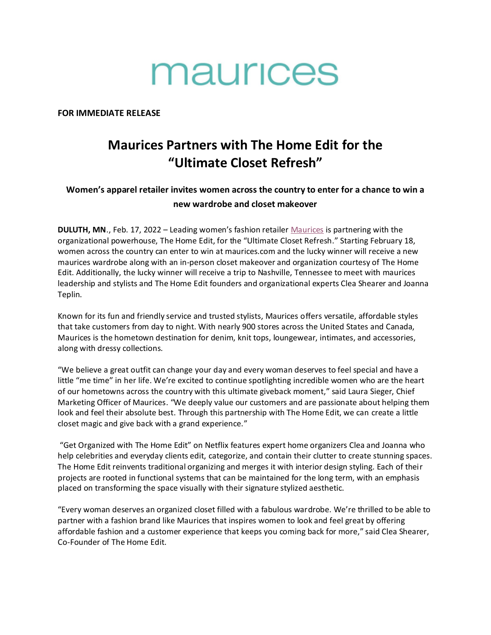# maurices

**FOR IMMEDIATE RELEASE**

# **Maurices Partners with The Home Edit for the "Ultimate Closet Refresh"**

## **Women's apparel retailer invites women across the country to enter for a chance to win a new wardrobe and closet makeover**

**DULUTH, MN**., Feb. 17, 2022 – Leading women's fashion retailer [Maurices](https://www.maurices.com/) is partnering with the organizational powerhouse, The Home Edit, for the "Ultimate Closet Refresh." Starting February 18, women across the country can enter to win at maurices.com and the lucky winner will receive a new maurices wardrobe along with an in-person closet makeover and organization courtesy of The Home Edit. Additionally, the lucky winner will receive a trip to Nashville, Tennessee to meet with maurices leadership and stylists and The Home Edit founders and organizational experts Clea Shearer and Joanna Teplin.

Known for its fun and friendly service and trusted stylists, Maurices offers versatile, affordable styles that take customers from day to night. With nearly 900 stores across the United States and Canada, Maurices is the hometown destination for denim, knit tops, loungewear, intimates, and accessories, along with dressy collections.

"We believe a great outfit can change your day and every woman deserves to feel special and have a little "me time" in her life. We're excited to continue spotlighting incredible women who are the heart of our hometowns across the country with this ultimate giveback moment," said Laura Sieger, Chief Marketing Officer of Maurices. "We deeply value our customers and are passionate about helping them look and feel their absolute best. Through this partnership with The Home Edit, we can create a little closet magic and give back with a grand experience."

"Get Organized with The Home Edit" on Netflix features expert home organizers Clea and Joanna who help celebrities and everyday clients edit, categorize, and contain their clutter to create stunning spaces. The Home Edit reinvents traditional organizing and merges it with interior design styling. Each of their projects are rooted in functional systems that can be maintained for the long term, with an emphasis placed on transforming the space visually with their signature stylized aesthetic.

"Every woman deserves an organized closet filled with a fabulous wardrobe. We're thrilled to be able to partner with a fashion brand like Maurices that inspires women to look and feel great by offering affordable fashion and a customer experience that keeps you coming back for more," said Clea Shearer, Co-Founder of The Home Edit.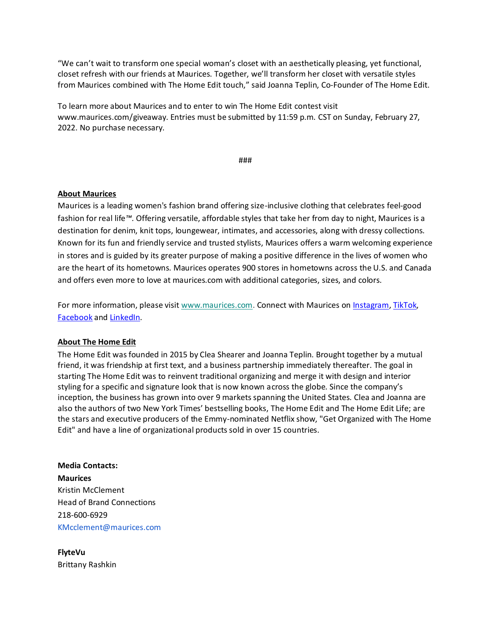"We can't wait to transform one special woman's closet with an aesthetically pleasing, yet functional, closet refresh with our friends at Maurices. Together, we'll transform her closet with versatile styles from Maurices combined with The Home Edit touch," said Joanna Teplin, Co-Founder of The Home Edit.

To learn more about Maurices and to enter to win The Home Edit contest visit www.maurices.com/giveaway. Entries must be submitted by 11:59 p.m. CST on Sunday, February 27, 2022. No purchase necessary.

###

### **About Maurices**

Maurices is a leading women's fashion brand offering size-inclusive clothing that celebrates feel-good fashion for real life*™.* Offering versatile, affordable styles that take her from day to night, Maurices is a destination for denim, knit tops, loungewear, intimates, and accessories, along with dressy collections. Known for its fun and friendly service and trusted stylists, Maurices offers a warm welcoming experience in stores and is guided by its greater purpose of making a positive difference in the lives of women who are the heart of its hometowns. Maurices operates 900 stores in hometowns across the U.S. and Canada and offers even more to love at maurices.com with additional categories, sizes, and colors.

For more information, please visi[t www.maurices.com.](https://c212.net/c/link/?t=0&l=en&o=3352761-1&h=686338365&u=http%3A%2F%2Fwww.maurices.com%2F&a=www.maurices.com) Connect with Maurices o[n Instagram,](https://c212.net/c/link/?t=0&l=en&o=3352761-1&h=3978272362&u=http%3A%2F%2Fwww.instagram.com%2Fmaurices&a=www.instagram.com%2Fmaurices) [TikTok,](http://www.tiktok.com/@officialmaurices) [Facebook](http://www.facebook.com/maurices) an[d LinkedIn.](http://www.linkedin.com/company/maurices)

### **About The Home Edit**

The Home Edit was founded in 2015 by Clea Shearer and Joanna Teplin. Brought together by a mutual friend, it was friendship at first text, and a business partnership immediately thereafter. The goal in starting The Home Edit was to reinvent traditional organizing and merge it with design and interior styling for a specific and signature look that is now known across the globe. Since the company's inception, the business has grown into over 9 markets spanning the United States. Clea and Joanna are also the authors of two New York Times' bestselling books, The Home Edit and The Home Edit Life; are the stars and executive producers of the Emmy-nominated Netflix show, "Get Organized with The Home Edit" and have a line of organizational products sold in over 15 countries.

**Media Contacts: Maurices** Kristin McClement Head of Brand Connections 218-600-6929 KMcclement@maurices.com

**FlyteVu** Brittany Rashkin